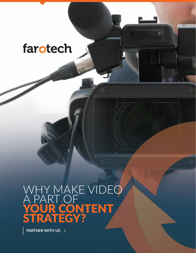### WHY MAKE VIDEO A PART OF YOUR CONTENT STRATEGY?

PARTNER WITH US  $\rightarrow$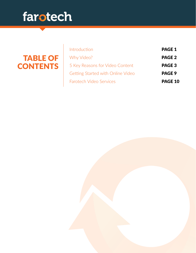#### TABLE OF **CONTENTS**

| Introduction                      | <b>PAGE 1</b> |
|-----------------------------------|---------------|
| Why Video?                        | <b>PAGE 2</b> |
| 5 Key Reasons for Video Content   | <b>PAGE 3</b> |
| Getting Started with Online Video | PAGE 9        |
| Farotech Video Services           | PAGE 10       |
|                                   |               |

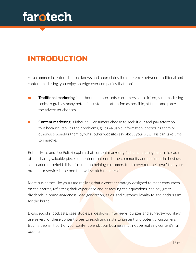### INTRODUCTION

As a commercial enterprise that knows and appreciates the difference between traditional and content marketing, you enjoy an edge over companies that don't.

- **Traditional marketing** is outbound. It interrupts consumers. Unsolicited, such marketing seeks to grab as many potential customers' attention as possible, at times and places the advertiser chooses.
- **Content marketing** is inbound. Consumers choose to seek it out and pay attention to it because itsolves their problems, gives valuable information, entertains them or otherwise benefits them.by what other websites say about your site. This can take time to improve.

Robert Rose and Joe Pulizzi explain that content marketing "is humans being helpful to each other, sharing valuable pieces of content that enrich the community and position the business as a leader in thefield. It is... focused on helping customers to discover (on their own) that your product or service is the one that will scratch their itch."

More businesses like yours are realizing that a content strategy designed to meet consumers on their terms, reflecting their experience and answering their questions, can pay great dividends in brand awareness, lead generation, sales, and customer loyalty to and enthusiasm for the brand.

Blogs, ebooks, podcasts, case studies, slideshows, interviews, quizzes and surveys—you likely use several of these content types to reach and relate to present and potential customers. But if video isn't part of yo<mark>ur content blend, your business may</mark> not be realizing content's full potential.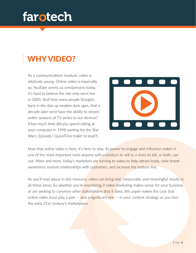#### WHY VIDEO?

As a communications medium, video is relatively young. Online video is especially so. YouTube seems so omnipresent today, it's hard to believe the site only went live in 2005. And how many people thought, back in the dial-up modem dark ages, that a decade later we'd have the ability to stream entire seasons of TV series to our devices? (How much time did you spend sitting at your computer in 1998 waiting for the Star Wars: Episode I QuickTime trailer to load?)



Now that online video is here, it's here to stay. Its power to engage and influence makes it one of the most important tools anyone with a product to sell or a story to tell, or both, can use. More and more, today's marketers are turning to video to help attract leads, raise brand awareness, nurture relationships with customers, and increase the bottom line.

As you'll read about in this resource, video can bring real, measurable and meaningful results in all these areas. So whether you're wondering if video marketing makes sense for your business or are seeking to convince other stakeholders that it does, this paper makes the case that online video must play a part  $-\frac{1}{2}$  and a significant one  $-\frac{1}{2}$  in your content strategy as you face the early 21st century's marketplace.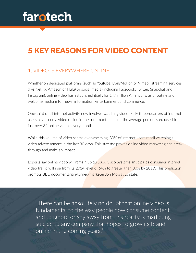#### 5 KEY REASONS FOR VIDEO CONTENT

#### 1. VIDEO IS EVERYWHERE ONLINE

Whether on dedicated platforms (such as YouTube, DailyMotion or Vimeo), streaming services (like Netflix, Amazon or Hulu) or social media (including Facebook, Twitter, Snapchat and Instagram), online video has established itself, for 147 million Americans, as a routine and welcome medium for news, information, entertainment and commerce.

One-third of all internet activity now involves watching video. Fully three-quarters of internet users have seen a video online in the past month. In fact, the average person is exposed to just over 32 online videos every month.

While this volume of video seems overwhelming, 80% of internet users recall watching a video advertisement in the last 30 days. This statistic proves online video marketing can break through and make an impact.

Experts say online video will remain ubiquitous. Cisco Systems anticipates consumer internet video traffic will rise from its 2014 level of 64% to greater than 80% by 2019. This prediction prompts BBC documentarian-turned-marketer Jon Mowat to state:

"There can be absolutely no doubt that online video is fundamental to the way people now consume content and to ignore or shy away from this reality is marketing suicide to any company that hopes to grow its brand online in the coming years."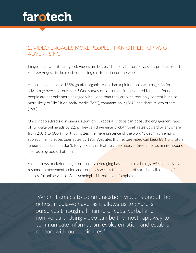#### 2. VIDEO ENGAGES MORE PEOPLE THAN OTHER FORMS OF ADVERTISING

Images on a website are good. Videos are better. "The play button," says sales process expert Andrew Angus, "is the most compelling call-to-action on the web."

An online video has a 135% greater organic reach than a picture on a web page. As for its advantage over text-only sites? One survey of consumers in the United Kingdom found people are not only more engaged with video than they are with text-only content but also more likely to "like" it on social media (56%), comment on it (36%) and share it with others (39%).

Once video attracts consumers' attention, it keeps it. Videos can boost the engagement rate of full-page online ads by 22%. They can drive email click-through rates upward by anywhere from 200% to 300%. For that matter, the mere presence of the word "video" in an email's subject line increases open rates by 19%. Websites that feature video can keep 88% of visitors longer than sites that don't. Blog posts that feature video receive three times as many inbound links as blog posts that don't.

Video allows marketers to get noticed by leveraging basic brain psychology. We instinctively respond to movement, color, and sound, as well as the element of surprise—all aspects of successful online videos. As psychologist Nathalie Nahai explains:

"When it comes to communication, video is one of the richest mediawe have, as it allows us to express ourselves through all mannerof cues, verbal and non-verbal… Using video can be the most rapidway to communicate information, evoke emotion and establish rapport with our audiences."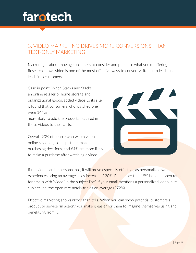#### 3. VIDEO MARKETING DRIVES MORE CONVERSIONS THAN TEXT-ONLY MARKETING

Marketing is about moving consumers to consider and purchase what you're offering. Research shows video is one of the most effective ways to convert visitors into leads and leads into customers.

Case in point: When Stacks and Stacks, an online retailer of home storage and organizational goods, added videos to its site, it found that consumers who watched one were 144% more likely to add the products featured in those videos to their carts.

Overall, 90% of people who watch videos online say doing so helps them make purchasing decisions, and 64% are more likely to make a purchase after watching a video.



If the video can be personalized, it will prove especially effective, as personalized web experiences bring an average sales increase of 20%. Remember that 19% boost in open rates for emails with "video" in the subject line? If your email mentions a personalized video in its subject line, the open rate nearly triples on average (272%).

Effective marketing shows rather than tells. When you can show potential customers a product or service "in action," you make it easier for them to imagine themselves using and benefitting from it.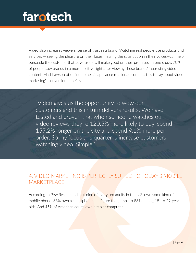Video also increases viewers' sense of trust in a brand. Watching real people use products and services — seeing the pleasure on their faces, hearing the satisfaction in their voices—can help persuade the customer that advertisers will make good on their promises. In one study, 70% of people saw brands in a more positive light after viewing those brands' interesting video content. Matt Lawson of online domestic appliance retailer ao.com has this to say about video marketing's conversion benefits:

"Video gives us the opportunity to wow our customers and this in turn delivers results. We have tested and proven that when someone watches our video reviews they're 120.5% more likely to buy, spend 157.2% longer on the site and spend 9.1% more per order. So my focus this quarter is increase customers watching video. Simple."

#### 4. VIDEO MARKETING IS PERFECTLY SUITED TO TODAY'S MOBILE **MARKETPLACE**

According to Pew Research, about nine of every ten adults in the U.S. own some kind of mobile phone. 68% own a smartphone  $-$  a figure that jumps to 86% among 18- to 29-yearolds. And 45% of American adults own a tablet computer.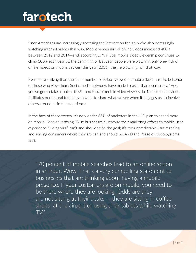Since Americans are increasingly accessing the internet on the go, we're also increasingly watching internet videos that way. Mobile viewership of online videos increased 400% between 2012 and 2014—and, according to YouTube, mobile video viewership continues to climb 100% each year. At the beginning of last year, people were watching only one-fifth of online videos on mobile devices; this year (2016), they're watching half that way.

Even more striking than the sheer number of videos viewed on mobile devices is the behavior of those who view them. Social media networks have made it easier than ever to say, "Hey, you've got to take a look at this!"—and 92% of mobile video viewers do. Mobile online video facilitates our natural tendency to want to share what we see when it engages us, to involve others around us in the experience.

In the face of these trends, it's no wonder 65% of marketers in the U.S. plan to spend more on mobile video advertising. Wise businesses customize their marketing efforts to mobile user experience. "Going viral" can't and shouldn't be the goal; it's too unpredictable. But reaching and serving consumers where they are can and should be. As Diane Pease of Cisco Systems says:

"70 percent of mobile searches lead to an online action in an hour. Wow. That's a very compelling statement to businesses that are thinking about having a mobile presence. If your customers are on mobile, you need to be there where they are looking. Odds are they are not sitting at their desks — they are sitting in coffee shops, at the airport or using their tablets while watching TV."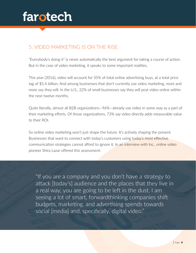#### 5. VIDEO MARKETING IS ON THE RISE

"Everybody's doing it" is never automatically the best argument for taking a course of action. But in the case of video marketing, it speaks to some important realities.

This year (2016), video will account for 35% of total online advertising buys, at a total price tag of \$5.4 billion. And among businesses that don't currently use video marketing, more and more say they will. In the U.S., 22% of small businesses say they will post video online within the next twelve months.

Quite literally, almost all B2B organizations—96%—already use video in some way as a part of their marketing efforts. Of those organizations, 73% say video directly adds measurable value to their ROI.

So online video marketing won't just shape the future. It's actively shaping the present. Businesses that want to connect with today's customers using today's most effective communication strategies cannot afford to ignore it. In an interview with Inc., online video pioneer Shira Lazar offered this assessment:

"If you are a company and you don't have a strategy to attack [today's] audience and the places that they live in a real way, you are going to be left in the dust. I am seeing a lot of smart, forwardthinking companies shift budgets, marketing, and advertising spends towards social [media] and, specifically, digital video."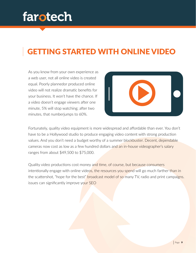#### GETTING STARTED WITH ONLINE VIDEO

As you know from your own experience as a web user, not all online video is created equal. Poorly plannedor produced online video will not realize dramatic benefits for your business. It won't have the chance. If a video doesn't engage viewers after one minute, 5% will stop watching; after two minutes, that numberjumps to 60%.



Fortunately, quality video equipment is more widespread and affordable than ever. You don't have to be a Hollywood studio to produce engaging video content with strong production values. And you don't need a budget worthy of a summer blockbuster. Decent, dependable cameras now cost as low as a few hundred dollars and an in-house videographer's salary ranges from about \$49,500 to \$75,000.

Quality video productions cost money and time, of course, but because consumers intentionally engage with online videos, the resources you spend will go much farther than in the scattershot, "hope for the best" **broadcast model of so** many TV, radio and print campaigns. issues can significantly improve your SEO